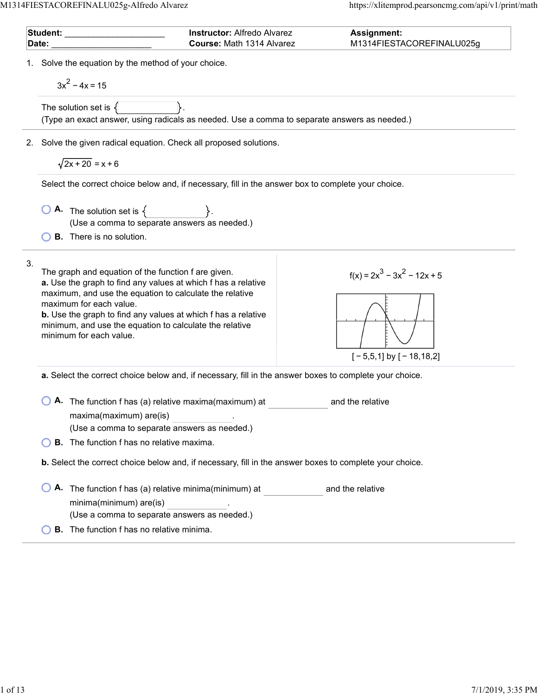$\overline{a}$ 

 $\overline{a}$ 

| Student: with a state of the state of the state of the state of the state of the state of the state of the sta<br>Date: |                                                                                                                                                                                                                                                                                                                                                                          | <b>Instructor: Alfredo Alvarez</b><br>Course: Math 1314 Alvarez | <b>Assignment:</b><br>M1314FIESTACOREFINALU025g                                                         |
|-------------------------------------------------------------------------------------------------------------------------|--------------------------------------------------------------------------------------------------------------------------------------------------------------------------------------------------------------------------------------------------------------------------------------------------------------------------------------------------------------------------|-----------------------------------------------------------------|---------------------------------------------------------------------------------------------------------|
| 1. Solve the equation by the method of your choice.<br>$3x^2 - 4x = 15$                                                 |                                                                                                                                                                                                                                                                                                                                                                          |                                                                 |                                                                                                         |
|                                                                                                                         | The solution set is $\{$<br>(Type an exact answer, using radicals as needed. Use a comma to separate answers as needed.)                                                                                                                                                                                                                                                 |                                                                 |                                                                                                         |
|                                                                                                                         | 2. Solve the given radical equation. Check all proposed solutions.                                                                                                                                                                                                                                                                                                       |                                                                 |                                                                                                         |
|                                                                                                                         | $\sqrt{2x+20}$ = x + 6                                                                                                                                                                                                                                                                                                                                                   |                                                                 |                                                                                                         |
|                                                                                                                         | Select the correct choice below and, if necessary, fill in the answer box to complete your choice.                                                                                                                                                                                                                                                                       |                                                                 |                                                                                                         |
|                                                                                                                         | $\begin{array}{ c c c }\n\hline\n\bullet\end{array}$ The solution set is $\{\begin{array}{ c c }\n\hline\n\end{array}\}$ .<br>(Use a comma to separate answers as needed.)                                                                                                                                                                                               |                                                                 |                                                                                                         |
|                                                                                                                         | <b>B.</b> There is no solution.                                                                                                                                                                                                                                                                                                                                          |                                                                 |                                                                                                         |
| 3.                                                                                                                      | The graph and equation of the function f are given.<br>a. Use the graph to find any values at which f has a relative<br>maximum, and use the equation to calculate the relative<br>maximum for each value.<br><b>b.</b> Use the graph to find any values at which f has a relative<br>minimum, and use the equation to calculate the relative<br>minimum for each value. |                                                                 | $f(x) = 2x^3 - 3x^2 - 12x + 5$<br>$[-5,5,1]$ by $[-18,18,2]$                                            |
|                                                                                                                         |                                                                                                                                                                                                                                                                                                                                                                          |                                                                 | a. Select the correct choice below and, if necessary, fill in the answer boxes to complete your choice. |
|                                                                                                                         | A. The function f has (a) relative maxima(maximum) at<br>maxima(maximum) are(is)<br>(Use a comma to separate answers as needed.)                                                                                                                                                                                                                                         |                                                                 | and the relative                                                                                        |
|                                                                                                                         | <b>B.</b> The function f has no relative maxima.                                                                                                                                                                                                                                                                                                                         |                                                                 |                                                                                                         |
|                                                                                                                         |                                                                                                                                                                                                                                                                                                                                                                          |                                                                 | b. Select the correct choice below and, if necessary, fill in the answer boxes to complete your choice. |
|                                                                                                                         | A. The function f has (a) relative minima(minimum) at<br>minima(minimum) are(is)<br>(Use a comma to separate answers as needed.)                                                                                                                                                                                                                                         |                                                                 | and the relative                                                                                        |
|                                                                                                                         | <b>B.</b> The function f has no relative minima.                                                                                                                                                                                                                                                                                                                         |                                                                 |                                                                                                         |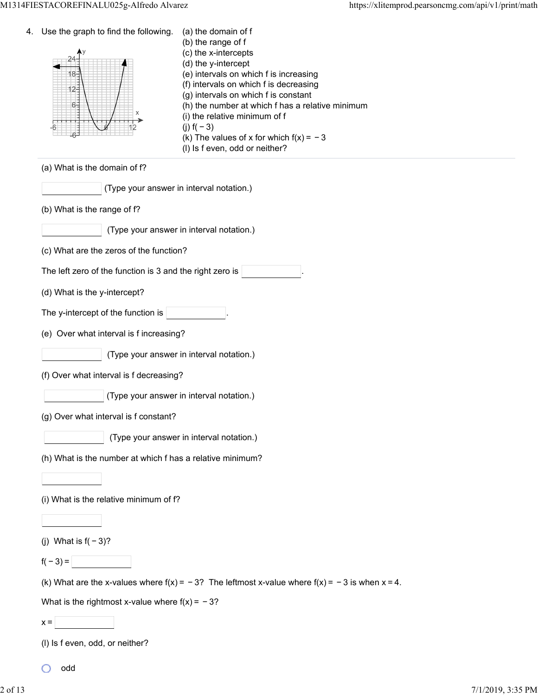| 4. | Use the graph to find the following.<br>18-<br>12-<br>$6 -$ | (a) the domain of f<br>(b) the range of f<br>(c) the x-intercepts<br>(d) the y-intercept<br>(e) intervals on which f is increasing<br>(f) intervals on which f is decreasing<br>(g) intervals on which f is constant<br>(h) the number at which f has a relative minimum<br>(i) the relative minimum of f<br>(j) $f(-3)$<br>(k) The values of x for which $f(x) = -3$<br>(I) Is f even, odd or neither? |
|----|-------------------------------------------------------------|---------------------------------------------------------------------------------------------------------------------------------------------------------------------------------------------------------------------------------------------------------------------------------------------------------------------------------------------------------------------------------------------------------|
|    | (a) What is the domain of f?                                |                                                                                                                                                                                                                                                                                                                                                                                                         |
|    | (Type your answer in interval notation.)                    |                                                                                                                                                                                                                                                                                                                                                                                                         |
|    | (b) What is the range of f?                                 |                                                                                                                                                                                                                                                                                                                                                                                                         |
|    |                                                             | (Type your answer in interval notation.)                                                                                                                                                                                                                                                                                                                                                                |
|    | (c) What are the zeros of the function?                     |                                                                                                                                                                                                                                                                                                                                                                                                         |
|    | The left zero of the function is 3 and the right zero is    |                                                                                                                                                                                                                                                                                                                                                                                                         |
|    | (d) What is the y-intercept?                                |                                                                                                                                                                                                                                                                                                                                                                                                         |
|    | The y-intercept of the function is                          |                                                                                                                                                                                                                                                                                                                                                                                                         |
|    | (e) Over what interval is f increasing?                     |                                                                                                                                                                                                                                                                                                                                                                                                         |
|    |                                                             | (Type your answer in interval notation.)                                                                                                                                                                                                                                                                                                                                                                |
|    | (f) Over what interval is f decreasing?                     |                                                                                                                                                                                                                                                                                                                                                                                                         |
|    |                                                             | (Type your answer in interval notation.)                                                                                                                                                                                                                                                                                                                                                                |
|    | (g) Over what interval is f constant?                       |                                                                                                                                                                                                                                                                                                                                                                                                         |
|    |                                                             | (Type your answer in interval notation.)                                                                                                                                                                                                                                                                                                                                                                |
|    | (h) What is the number at which f has a relative minimum?   |                                                                                                                                                                                                                                                                                                                                                                                                         |
|    |                                                             |                                                                                                                                                                                                                                                                                                                                                                                                         |
|    | (i) What is the relative minimum of f?                      |                                                                                                                                                                                                                                                                                                                                                                                                         |
|    |                                                             |                                                                                                                                                                                                                                                                                                                                                                                                         |
|    | (j) What is $f(-3)$ ?                                       |                                                                                                                                                                                                                                                                                                                                                                                                         |
|    | $f(-3) =$                                                   |                                                                                                                                                                                                                                                                                                                                                                                                         |
|    |                                                             | (k) What are the x-values where $f(x) = -3$ ? The leftmost x-value where $f(x) = -3$ is when $x = 4$ .                                                                                                                                                                                                                                                                                                  |
|    | What is the rightmost x-value where $f(x) = -3$ ?           |                                                                                                                                                                                                                                                                                                                                                                                                         |
|    | $x =$                                                       |                                                                                                                                                                                                                                                                                                                                                                                                         |
|    | (I) Is f even, odd, or neither?                             |                                                                                                                                                                                                                                                                                                                                                                                                         |

odd

 $\circ$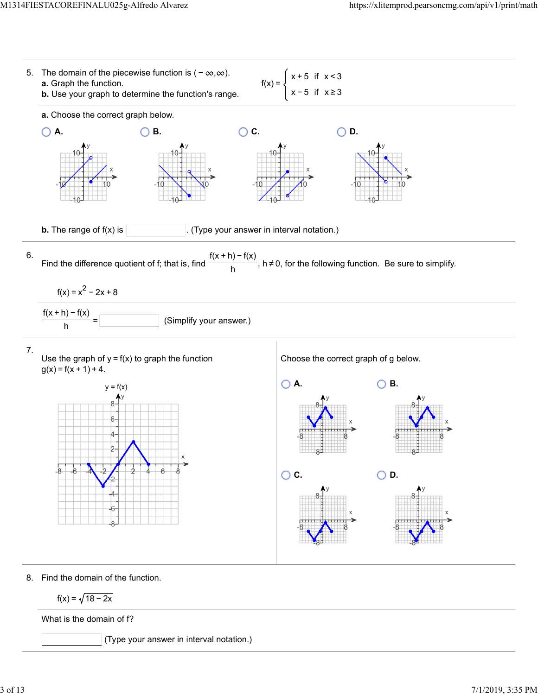

$$
f(x) = \sqrt{18-2x}
$$

What is the domain of f?

(Type your answer in interval notation.)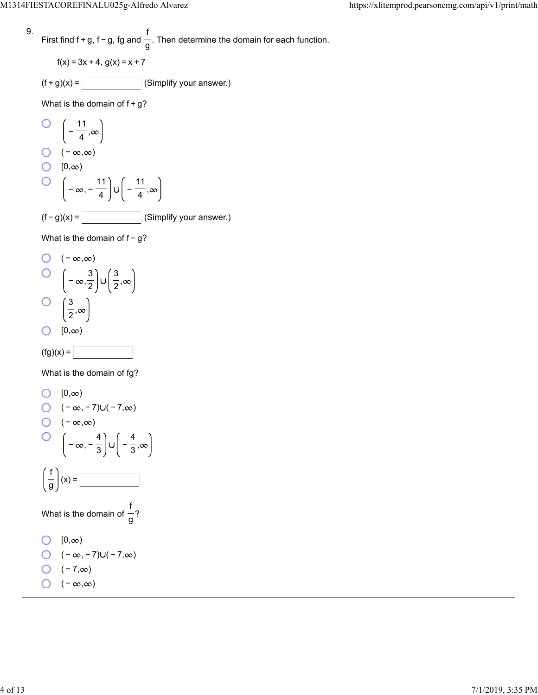9. First find 
$$
f + g
$$
,  $f - g$ ,  $fg$  and  $\frac{f}{g}$ . Then determine the domain for each function.

$$
f(x) = 3x + 4, g(x) = x + 7
$$

$$
(f+g)(x) = \boxed{\qquad \qquad} \text{(Simplify your answer.)}
$$

What is the domain of  $f+g$ ?

O 
$$
\left(-\frac{11}{4}, \infty\right)
$$
  
O  $\left(-\infty, \infty\right)$   
O  $\left[0, \infty\right)$   
O  $\left(-\infty, -\frac{11}{4}\right] \cup \left(-\frac{11}{4}, \infty\right)$   
(f-g)(x) = \_\_\_\_\_\_ (Simplify your answer.)

What is the domain of f - g?

O 
$$
(-\infty, \infty)
$$
  
O  $\left(-\infty, \frac{3}{2}\right) \cup \left(\frac{3}{2}, \infty\right)$   
O  $\left(\frac{3}{2}, \infty\right)$   
O  $[0, \infty)$ 



What is the domain of fg?

0 [0,
$$
\infty
$$
)  
\n0 (- $\infty$ , -7)U(-7, $\infty$ )  
\n0 (- $\infty$ , $\infty$ )  
\n0  $\left(-\infty, -\frac{4}{3}\right)$ U $\left(-\frac{4}{3}, \infty\right)$   
\n $\left(\frac{f}{g}\right)(x) =$   
\nWhat is the domain of  $\frac{f}{g}$ ?  
\n0 [0, $\infty$ )  
\n0 (- $\infty$ , -7)U(-7, $\infty$ )  
\n0 (-7, $\infty$ )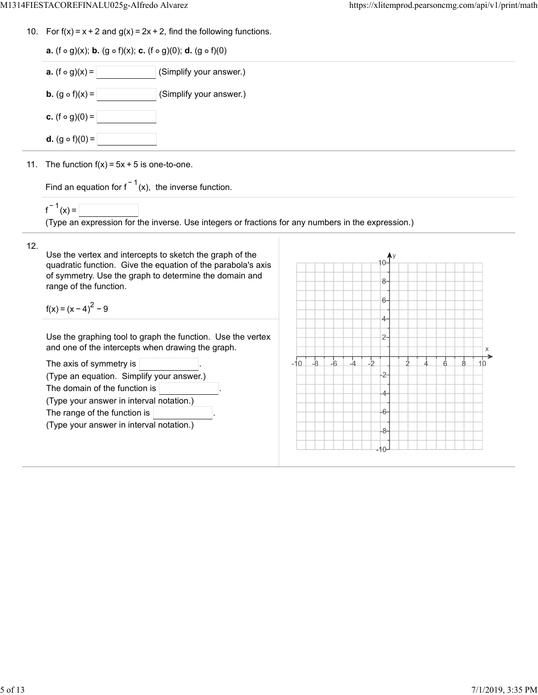10. For  $f(x) = x + 2$  and  $g(x) = 2x + 2$ , find the following functions.

| <b>a.</b> (f $\circ$ g)(x); <b>b.</b> (g $\circ$ f)(x); <b>c.</b> (f $\circ$ g)(0); <b>d.</b> (g $\circ$ f)(0) |
|----------------------------------------------------------------------------------------------------------------|
| <b>a.</b> $(f \circ g)(x) =$<br>(Simplify your answer.)                                                        |
| <b>b.</b> $(g \circ f)(x) =$<br>(Simplify your answer.)                                                        |
| <b>c.</b> (f $\circ$ g)(0) =                                                                                   |
| <b>d.</b> $(g \circ f)(0) =$                                                                                   |
| 11. The function $f(x) = 5x + 5$ is one-to-one.                                                                |

Find an equation for  $f^{-1}(x)$ , the inverse function.

 $f^{-1}(x) =$ 

(Type an expression for the inverse. Use integers or fractions for any numbers in the expression.)

## 12.

Use the vertex and intercepts to sketch the graph of the quadratic function. Give the equation of the parabola's axis of symmetry. Use the graph to determine the domain and range of the function.

 $f(x) = (x - 4)^{2} - 9$ 

Use the graphing tool to graph the function. Use the vertex and one of the intercepts when drawing the graph.

| The axis of symmetry is $ $               |  |
|-------------------------------------------|--|
| (Type an equation. Simplify your answer.) |  |
| The domain of the function is             |  |
| (Type your answer in interval notation.)  |  |
| The range of the function is              |  |
| (Type your answer in interval notation.)  |  |
|                                           |  |

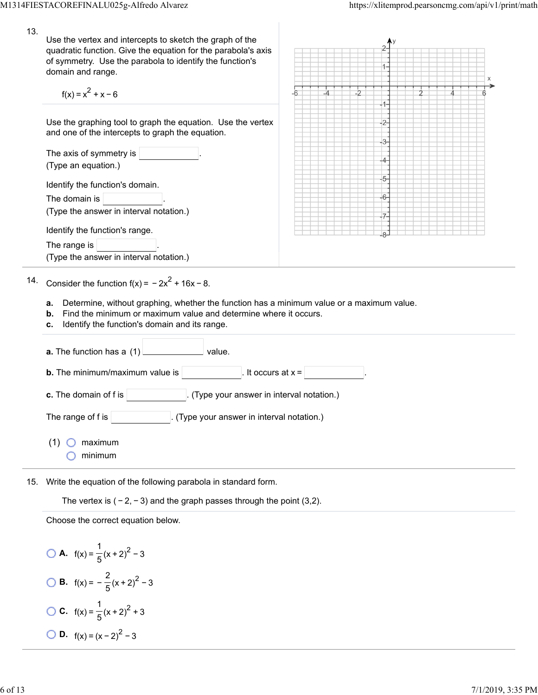13. Use the vertex and intercepts to sketch the graph of the quadratic function. Give the equation for the parabola's axis of symmetry. Use the parabola to identify the function's  $\overline{1}$ domain and range.  $f(x) = x^2 + x - 6$  $-2$  $\overline{1}$ Use the graphing tool to graph the equation. Use the vertex  $-2$ and one of the intercepts to graph the equation. -3-The axis of symmetry is -4-(Type an equation.)  $-5$ Identify the function's domain.  $-6$ The domain is  $|$ (Type the answer in interval notation.) -7 Identify the function's range. The range is (Type the answer in interval notation.) 14. Consider the function  $f(x) = -2x^2 + 16x - 8$ .

- **a.** Determine, without graphing, whether the function has a minimum value or a maximum value.
- **b.** Find the minimum or maximum value and determine where it occurs.
- **c.** Identify the function's domain and its range.

| <b>a.</b> The function has a (1)<br>value.                                 |
|----------------------------------------------------------------------------|
| <b>b.</b> The minimum/maximum value is<br>. It occurs at $x =$ $\mid$      |
| <b>c.</b> The domain of f is<br>. (Type your answer in interval notation.) |
| The range of f is<br>(Type your answer in interval notation.)              |
| maximum<br>(1)<br>minimum                                                  |

15. Write the equation of the following parabola in standard form.

The vertex is  $(-2, -3)$  and the graph passes through the point (3,2).

Choose the correct equation below.

**A.**  $f(x) = \frac{1}{5}(x+2)^2 - 3$ **B.**  $f(x) = -\frac{2}{5}(x+2)^2 - 3$ **C.**  $f(x) = \frac{1}{5}(x+2)^2 + 3$ **D.**  $f(x) = (x-2)^2 - 3$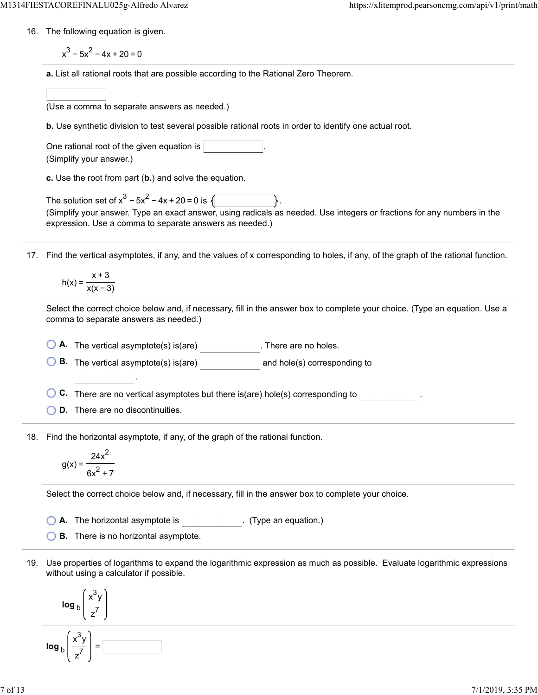16. The following equation is given.

 $x^3 - 5x^2 - 4x + 20 = 0$ 

**a.** List all rational roots that are possible according to the Rational Zero Theorem.

| (Use a comma to separate answers as needed.) |  |  |  |
|----------------------------------------------|--|--|--|
|                                              |  |  |  |

**b.** Use synthetic division to test several possible rational roots in order to identify one actual root.

One rational root of the given equation is (Simplify your answer.)

**c.** Use the root from part (**b.**) and solve the equation.

The solution set of  $x^3 - 5x^2 - 4x + 20 = 0$  is  $\sqrt{2}$ (Simplify your answer. Type an exact answer, using radicals as needed. Use integers or fractions for any numbers in the expression. Use a comma to separate answers as needed.)

17. Find the vertical asymptotes, if any, and the values of x corresponding to holes, if any, of the graph of the rational function.

$$
h(x) = \frac{x+3}{x(x-3)}
$$

Select the correct choice below and, if necessary, fill in the answer box to complete your choice. (Type an equation. Use a comma to separate answers as needed.)

**A.** The vertical asymptote(s) is(are) . There are no holes.

**B.** The vertical asymptote(s) is(are) and hole(s) corresponding to

**C.** There are no vertical asymptotes but there is(are) hole(s) corresponding to .

**D.** There are no discontinuities.

.

18. Find the horizontal asymptote, if any, of the graph of the rational function.

$$
g(x) = \frac{24x^2}{6x^2 + 7}
$$

Select the correct choice below and, if necessary, fill in the answer box to complete your choice.

**A.** The horizontal asymptote is . (Type an equation.)

**B.** There is no horizontal asymptote.

19. Use properties of logarithms to expand the logarithmic expression as much as possible. Evaluate logarithmic expressions without using a calculator if possible.

$$
\log_{b}\left(\frac{x^{3}y}{z^{7}}\right)
$$
\n
$$
\log_{b}\left(\frac{x^{3}y}{z^{7}}\right) = \boxed{\phantom{0}}
$$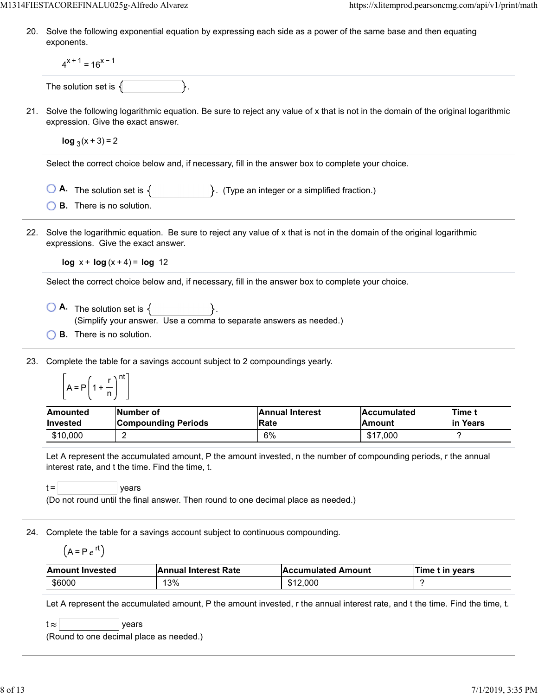20. Solve the following exponential equation by expressing each side as a power of the same base and then equating exponents.

|     | $4^{x+1} = 16^{x-1}$                                                                                                                                                                                                                                                        |           |                                                                                                                                                                                                  |                                       |                              |   |                           |  |
|-----|-----------------------------------------------------------------------------------------------------------------------------------------------------------------------------------------------------------------------------------------------------------------------------|-----------|--------------------------------------------------------------------------------------------------------------------------------------------------------------------------------------------------|---------------------------------------|------------------------------|---|---------------------------|--|
|     | The solution set is $\{$                                                                                                                                                                                                                                                    |           |                                                                                                                                                                                                  |                                       |                              |   |                           |  |
| 21. | expression. Give the exact answer.                                                                                                                                                                                                                                          |           | Solve the following logarithmic equation. Be sure to reject any value of x that is not in the domain of the original logarithmic                                                                 |                                       |                              |   |                           |  |
|     | $\log_3(x+3) = 2$                                                                                                                                                                                                                                                           |           |                                                                                                                                                                                                  |                                       |                              |   |                           |  |
|     |                                                                                                                                                                                                                                                                             |           | Select the correct choice below and, if necessary, fill in the answer box to complete your choice.                                                                                               |                                       |                              |   |                           |  |
|     | <b>B.</b> There is no solution.                                                                                                                                                                                                                                             |           | <b>O</b> A. The solution set is $\{$ $\}$ . (Type an integer or a simplified fraction.)                                                                                                          |                                       |                              |   |                           |  |
| 22. | Solve the logarithmic equation. Be sure to reject any value of x that is not in the domain of the original logarithmic<br>expressions. Give the exact answer.                                                                                                               |           |                                                                                                                                                                                                  |                                       |                              |   |                           |  |
|     | $log x + log(x + 4) = log 12$                                                                                                                                                                                                                                               |           |                                                                                                                                                                                                  |                                       |                              |   |                           |  |
|     |                                                                                                                                                                                                                                                                             |           | Select the correct choice below and, if necessary, fill in the answer box to complete your choice.                                                                                               |                                       |                              |   |                           |  |
|     | <b>B.</b> There is no solution.                                                                                                                                                                                                                                             |           | $\begin{array}{ c c c }\n\hline\n\bullet\end{array}$ The solution set is $\{\begin{array}{ c c }\n\hline\n\end{array}\}$ .<br>(Simplify your answer. Use a comma to separate answers as needed.) |                                       |                              |   |                           |  |
| 23. | Complete the table for a savings account subject to 2 compoundings yearly.<br>$A = P\left(1 + \frac{r}{n}\right)^{nt}$                                                                                                                                                      |           |                                                                                                                                                                                                  |                                       |                              |   |                           |  |
|     | Amounted<br><b>Invested</b>                                                                                                                                                                                                                                                 | Number of | <b>Compounding Periods</b>                                                                                                                                                                       | <b>Annual Interest</b><br><b>Rate</b> | Accumulated<br><b>Amount</b> |   | <b>Time t</b><br>in Years |  |
|     | \$10,000                                                                                                                                                                                                                                                                    | 2         |                                                                                                                                                                                                  | 6%                                    | \$17,000                     |   | ?                         |  |
|     | Let A represent the accumulated amount, P the amount invested, n the number of compounding periods, r the annual<br>interest rate, and t the time. Find the time, t.<br>$t =$<br>years<br>(Do not round until the final answer. Then round to one decimal place as needed.) |           |                                                                                                                                                                                                  |                                       |                              |   |                           |  |
|     |                                                                                                                                                                                                                                                                             |           |                                                                                                                                                                                                  |                                       |                              |   |                           |  |
| 24. | Complete the table for a savings account subject to continuous compounding.<br>$(A = Pe^{rt})$                                                                                                                                                                              |           |                                                                                                                                                                                                  |                                       |                              |   |                           |  |
|     | <b>Amount Invested</b>                                                                                                                                                                                                                                                      |           | <b>Annual Interest Rate</b>                                                                                                                                                                      |                                       | <b>Accumulated Amount</b>    |   | Time t in years           |  |
|     | \$6000                                                                                                                                                                                                                                                                      |           | 13%                                                                                                                                                                                              | \$12,000                              |                              | ? |                           |  |
|     | t $\approx$<br>(Round to one decimal place as needed.)                                                                                                                                                                                                                      | years     | Let A represent the accumulated amount, P the amount invested, r the annual interest rate, and t the time. Find the time, t.                                                                     |                                       |                              |   |                           |  |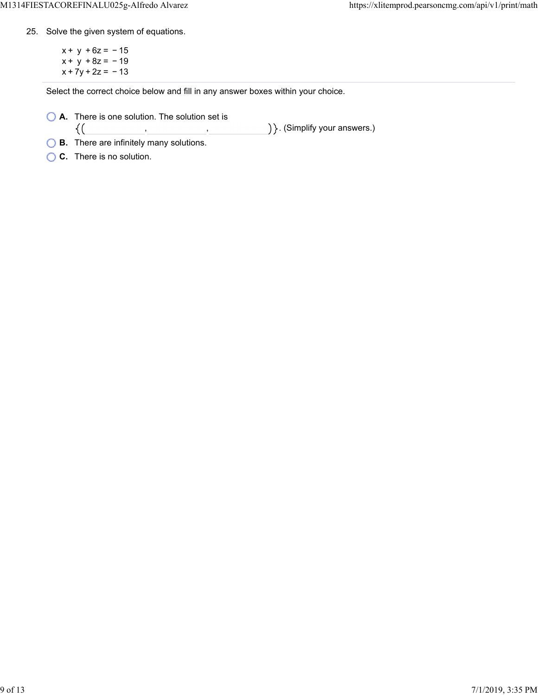25. Solve the given system of equations.

 $x + y + 6z = -15$  $x + y + 8z = -19$  $x + 7y + 2z = -13$ 

Select the correct choice below and fill in any answer boxes within your choice.

, ,

**A.** There is one solution. The solution set is  $\{(\}$ 

) }. (Simplify your answers.)

- **B.** There are infinitely many solutions.
- **C.** There is no solution.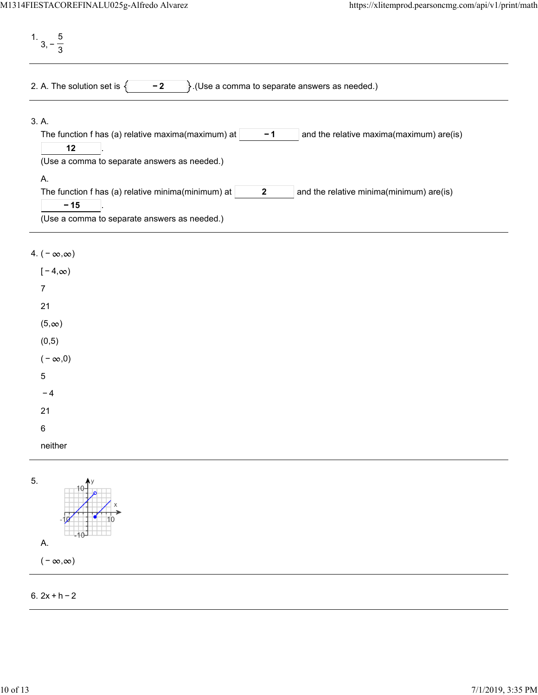1. 3, − 5 3 2. A. The solution set is  $\begin{cases} \begin{matrix} -2 \\ \end{matrix} \end{cases}$ . (Use a comma to separate answers as needed.) 3. A. The function f has (a) relative maxima(maximum) at  $\vert$  -1  $\vert$  and the relative maxima(maximum) are(is) . **− 1 12** (Use a comma to separate answers as needed.) A. The function f has (a) relative minima(minimum) at  $\vert$  2  $\vert$  and the relative minima(minimum) are(is) . **2 − 15** (Use a comma to separate answers as needed.)

## 4.  $(-\infty, \infty)$

| $[-4, \infty)$ |
|----------------|
| 7              |
| 21             |
| $(5, \infty)$  |
| (0, 5)         |
| $(-\infty,0)$  |
| 5              |
| -4             |
| 21             |
| 6              |
| neither        |
|                |



## 6. 2x + h − 2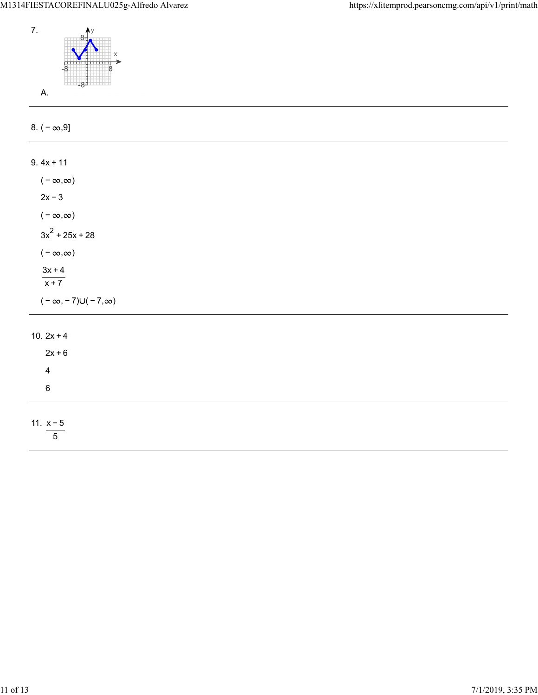

| 8. $(-\infty, 9]$                 |
|-----------------------------------|
|                                   |
| $9.4x + 11$                       |
| $(-\infty,\infty)$                |
| $2x - 3$                          |
| ( – $\infty,\infty)$              |
| $3x^2 + 25x + 28$                 |
| $(-\infty,\infty)$                |
| $\frac{3x+4}{x+7}$                |
|                                   |
| $(-\infty, -7) \cup (-7, \infty)$ |
| 10. $2x + 4$                      |
| $2x+6$                            |
| $\overline{\mathbf{4}}$           |
| $\,6\,$                           |
|                                   |
| 11. $x - 5$<br>$5\phantom{.0}$    |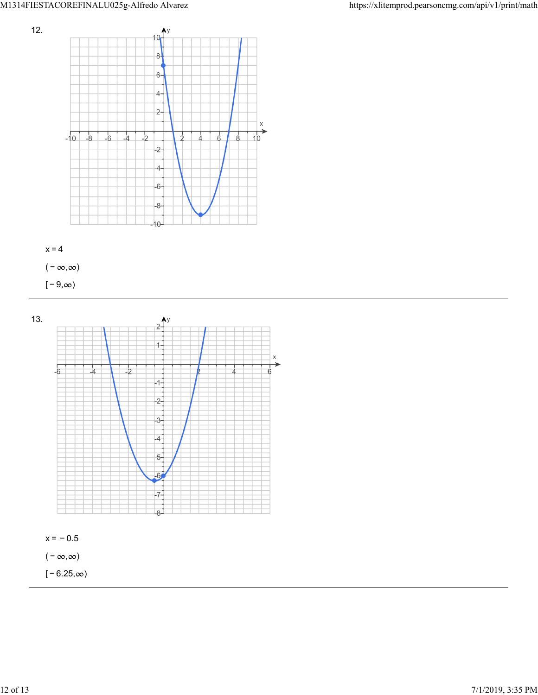



( –  $\infty, \infty$ )

 $[-9, \infty)$